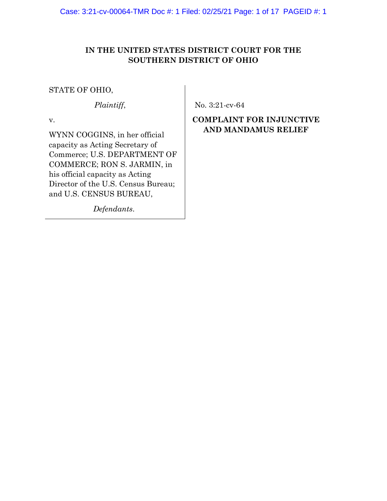# **IN THE UNITED STATES DISTRICT COURT FOR THE SOUTHERN DISTRICT OF OHIO**

## STATE OF OHIO,

# *Plaintiff*,

v.

WYNN COGGINS, in her official capacity as Acting Secretary of Commerce; U.S. DEPARTMENT OF COMMERCE; RON S. JARMIN, in his official capacity as Acting Director of the U.S. Census Bureau; and U.S. CENSUS BUREAU,

 *Defendants*.

No. 3:21-cv-64

# **COMPLAINT FOR INJUNCTIVE AND MANDAMUS RELIEF**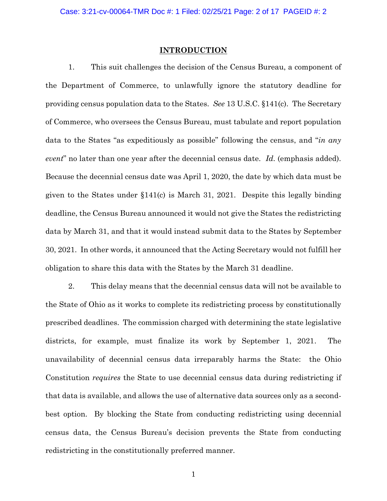#### **INTRODUCTION**

1. This suit challenges the decision of the Census Bureau, a component of the Department of Commerce, to unlawfully ignore the statutory deadline for providing census population data to the States. *See* 13 U.S.C. §141(c). The Secretary of Commerce, who oversees the Census Bureau, must tabulate and report population data to the States "as expeditiously as possible" following the census, and "*in any event*" no later than one year after the decennial census date. *Id*. (emphasis added). Because the decennial census date was April 1, 2020, the date by which data must be given to the States under  $\S 141(c)$  is March 31, 2021. Despite this legally binding deadline, the Census Bureau announced it would not give the States the redistricting data by March 31, and that it would instead submit data to the States by September 30, 2021. In other words, it announced that the Acting Secretary would not fulfill her obligation to share this data with the States by the March 31 deadline.

2. This delay means that the decennial census data will not be available to the State of Ohio as it works to complete its redistricting process by constitutionally prescribed deadlines. The commission charged with determining the state legislative districts, for example, must finalize its work by September 1, 2021. The unavailability of decennial census data irreparably harms the State: the Ohio Constitution *requires* the State to use decennial census data during redistricting if that data is available, and allows the use of alternative data sources only as a secondbest option. By blocking the State from conducting redistricting using decennial census data, the Census Bureau's decision prevents the State from conducting redistricting in the constitutionally preferred manner.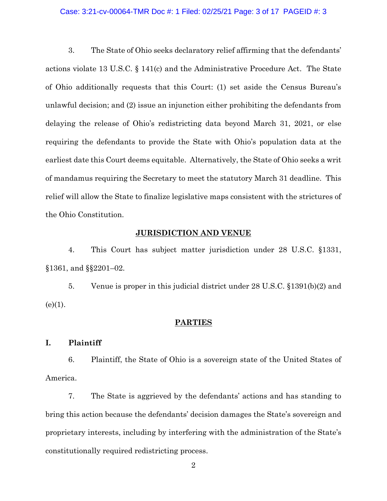### Case: 3:21-cv-00064-TMR Doc #: 1 Filed: 02/25/21 Page: 3 of 17 PAGEID #: 3

3. The State of Ohio seeks declaratory relief affirming that the defendants' actions violate 13 U.S.C. § 141(c) and the Administrative Procedure Act. The State of Ohio additionally requests that this Court: (1) set aside the Census Bureau's unlawful decision; and (2) issue an injunction either prohibiting the defendants from delaying the release of Ohio's redistricting data beyond March 31, 2021, or else requiring the defendants to provide the State with Ohio's population data at the earliest date this Court deems equitable. Alternatively, the State of Ohio seeks a writ of mandamus requiring the Secretary to meet the statutory March 31 deadline. This relief will allow the State to finalize legislative maps consistent with the strictures of the Ohio Constitution.

## **JURISDICTION AND VENUE**

4. This Court has subject matter jurisdiction under 28 U.S.C. §1331, §1361, and §§2201–02.

5. Venue is proper in this judicial district under 28 U.S.C. §1391(b)(2) and  $(e)(1)$ .

### **PARTIES**

### **I. Plaintiff**

6. Plaintiff, the State of Ohio is a sovereign state of the United States of America.

7. The State is aggrieved by the defendants' actions and has standing to bring this action because the defendants' decision damages the State's sovereign and proprietary interests, including by interfering with the administration of the State's constitutionally required redistricting process.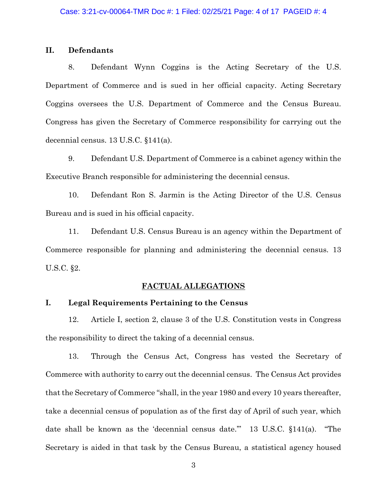## **II. Defendants**

8. Defendant Wynn Coggins is the Acting Secretary of the U.S. Department of Commerce and is sued in her official capacity. Acting Secretary Coggins oversees the U.S. Department of Commerce and the Census Bureau. Congress has given the Secretary of Commerce responsibility for carrying out the decennial census. 13 U.S.C. §141(a).

9. Defendant U.S. Department of Commerce is a cabinet agency within the Executive Branch responsible for administering the decennial census.

10. Defendant Ron S. Jarmin is the Acting Director of the U.S. Census Bureau and is sued in his official capacity.

11. Defendant U.S. Census Bureau is an agency within the Department of Commerce responsible for planning and administering the decennial census. 13 U.S.C. §2.

## **FACTUAL ALLEGATIONS**

## **I. Legal Requirements Pertaining to the Census**

12. Article I, section 2, clause 3 of the U.S. Constitution vests in Congress the responsibility to direct the taking of a decennial census.

13. Through the Census Act, Congress has vested the Secretary of Commerce with authority to carry out the decennial census. The Census Act provides that the Secretary of Commerce "shall, in the year 1980 and every 10 years thereafter, take a decennial census of population as of the first day of April of such year, which date shall be known as the 'decennial census date.'" 13 U.S.C. §141(a). "The Secretary is aided in that task by the Census Bureau, a statistical agency housed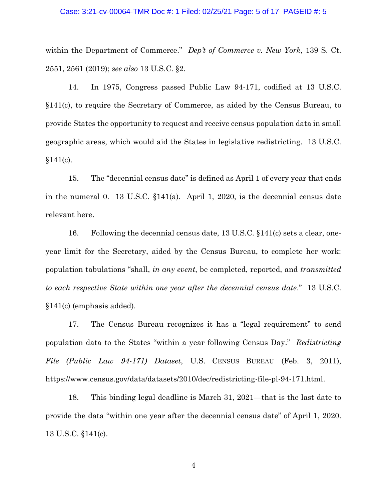### Case: 3:21-cv-00064-TMR Doc #: 1 Filed: 02/25/21 Page: 5 of 17 PAGEID #: 5

within the Department of Commerce." *Dep't of Commerce v. New York*, 139 S. Ct. 2551, 2561 (2019); *see also* 13 U.S.C. §2.

14. In 1975, Congress passed Public Law 94-171, codified at 13 U.S.C. §141(c), to require the Secretary of Commerce, as aided by the Census Bureau, to provide States the opportunity to request and receive census population data in small geographic areas, which would aid the States in legislative redistricting. 13 U.S.C.  $$141(c)$ .

15. The "decennial census date" is defined as April 1 of every year that ends in the numeral 0. 13 U.S.C. §141(a). April 1, 2020, is the decennial census date relevant here.

16. Following the decennial census date, 13 U.S.C. §141(c) sets a clear, oneyear limit for the Secretary, aided by the Census Bureau, to complete her work: population tabulations "shall, *in any event*, be completed, reported, and *transmitted to each respective State within one year after the decennial census date*." 13 U.S.C. §141(c) (emphasis added).

17. The Census Bureau recognizes it has a "legal requirement" to send population data to the States "within a year following Census Day." *Redistricting File (Public Law 94-171) Dataset*, U.S. CENSUS BUREAU (Feb. 3, 2011), https://www.census.gov/data/datasets/2010/dec/redistricting-file-pl-94-171.html.

18. This binding legal deadline is March 31, 2021—that is the last date to provide the data "within one year after the decennial census date" of April 1, 2020. 13 U.S.C. §141(c).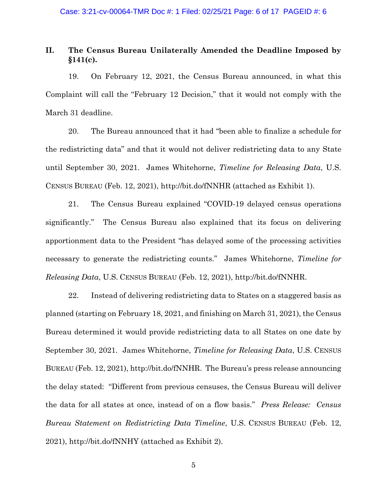# **II. The Census Bureau Unilaterally Amended the Deadline Imposed by §141(c).**

19. On February 12, 2021, the Census Bureau announced, in what this Complaint will call the "February 12 Decision," that it would not comply with the March 31 deadline.

20. The Bureau announced that it had "been able to finalize a schedule for the redistricting data" and that it would not deliver redistricting data to any State until September 30, 2021. James Whitehorne, *Timeline for Releasing Data*, U.S. CENSUS BUREAU (Feb. 12, 2021), http://bit.do/fNNHR (attached as Exhibit 1).

21. The Census Bureau explained "COVID-19 delayed census operations significantly." The Census Bureau also explained that its focus on delivering apportionment data to the President "has delayed some of the processing activities necessary to generate the redistricting counts." James Whitehorne, *Timeline for Releasing Data*, U.S. CENSUS BUREAU (Feb. 12, 2021), http://bit.do/fNNHR.

22. Instead of delivering redistricting data to States on a staggered basis as planned (starting on February 18, 2021, and finishing on March 31, 2021), the Census Bureau determined it would provide redistricting data to all States on one date by September 30, 2021. James Whitehorne, *Timeline for Releasing Data*, U.S. CENSUS BUREAU (Feb. 12, 2021), http://bit.do/fNNHR. The Bureau's press release announcing the delay stated: "Different from previous censuses, the Census Bureau will deliver the data for all states at once, instead of on a flow basis." *Press Release: Census Bureau Statement on Redistricting Data Timeline*, U.S. CENSUS BUREAU (Feb. 12, 2021), http://bit.do/fNNHY (attached as Exhibit 2).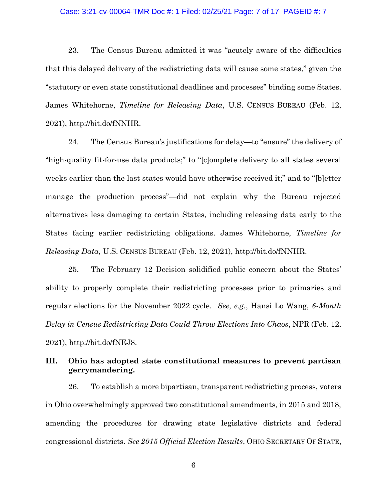### Case: 3:21-cv-00064-TMR Doc #: 1 Filed: 02/25/21 Page: 7 of 17 PAGEID #: 7

23. The Census Bureau admitted it was "acutely aware of the difficulties that this delayed delivery of the redistricting data will cause some states," given the "statutory or even state constitutional deadlines and processes" binding some States. James Whitehorne, *Timeline for Releasing Data*, U.S. CENSUS BUREAU (Feb. 12, 2021), http://bit.do/fNNHR.

24. The Census Bureau's justifications for delay—to "ensure" the delivery of "high-quality fit-for-use data products;" to "[c]omplete delivery to all states several weeks earlier than the last states would have otherwise received it;" and to "[b]etter manage the production process"—did not explain why the Bureau rejected alternatives less damaging to certain States, including releasing data early to the States facing earlier redistricting obligations. James Whitehorne, *Timeline for Releasing Data*, U.S. CENSUS BUREAU (Feb. 12, 2021), http://bit.do/fNNHR.

25. The February 12 Decision solidified public concern about the States' ability to properly complete their redistricting processes prior to primaries and regular elections for the November 2022 cycle. *See, e.g.*, Hansi Lo Wang, *6-Month Delay in Census Redistricting Data Could Throw Elections Into Chaos*, NPR (Feb. 12, 2021), http://bit.do/fNEJ8.

## **III. Ohio has adopted state constitutional measures to prevent partisan gerrymandering.**

26. To establish a more bipartisan, transparent redistricting process, voters in Ohio overwhelmingly approved two constitutional amendments, in 2015 and 2018, amending the procedures for drawing state legislative districts and federal congressional districts. *See 2015 Official Election Results*, OHIO SECRETARY OF STATE,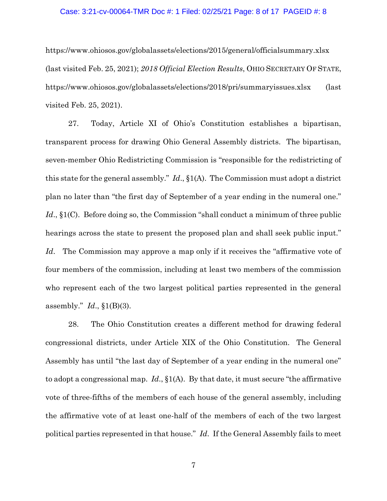#### Case: 3:21-cv-00064-TMR Doc #: 1 Filed: 02/25/21 Page: 8 of 17 PAGEID #: 8

https://www.ohiosos.gov/globalassets/elections/2015/general/officialsummary.xlsx (last visited Feb. 25, 2021); *2018 Official Election Results*, OHIO SECRETARY OF STATE, https://www.ohiosos.gov/globalassets/elections/2018/pri/summaryissues.xlsx (last visited Feb. 25, 2021).

27. Today, Article XI of Ohio's Constitution establishes a bipartisan, transparent process for drawing Ohio General Assembly districts. The bipartisan, seven-member Ohio Redistricting Commission is "responsible for the redistricting of this state for the general assembly." *Id*., §1(A). The Commission must adopt a district plan no later than "the first day of September of a year ending in the numeral one." *Id.*, §1(C). Before doing so, the Commission "shall conduct a minimum of three public hearings across the state to present the proposed plan and shall seek public input." *Id*. The Commission may approve a map only if it receives the "affirmative vote of four members of the commission, including at least two members of the commission who represent each of the two largest political parties represented in the general assembly." *Id*., §1(B)(3).

28. The Ohio Constitution creates a different method for drawing federal congressional districts, under Article XIX of the Ohio Constitution. The General Assembly has until "the last day of September of a year ending in the numeral one" to adopt a congressional map. *Id*., §1(A). By that date, it must secure "the affirmative vote of three-fifths of the members of each house of the general assembly, including the affirmative vote of at least one-half of the members of each of the two largest political parties represented in that house." *Id*. If the General Assembly fails to meet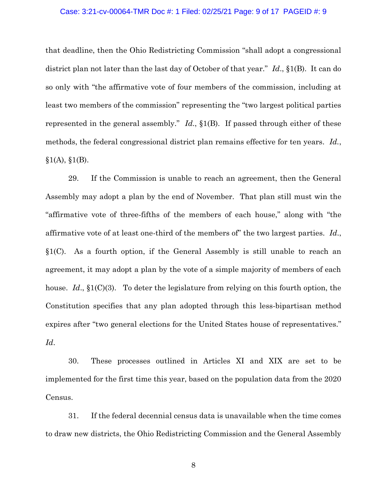### Case: 3:21-cv-00064-TMR Doc #: 1 Filed: 02/25/21 Page: 9 of 17 PAGEID #: 9

that deadline, then the Ohio Redistricting Commission "shall adopt a congressional district plan not later than the last day of October of that year." *Id*., §1(B). It can do so only with "the affirmative vote of four members of the commission, including at least two members of the commission" representing the "two largest political parties represented in the general assembly." *Id*., §1(B). If passed through either of these methods, the federal congressional district plan remains effective for ten years. *Id.*,  $§1(A), §1(B).$ 

29. If the Commission is unable to reach an agreement, then the General Assembly may adopt a plan by the end of November. That plan still must win the "affirmative vote of three-fifths of the members of each house," along with "the affirmative vote of at least one-third of the members of" the two largest parties. *Id*., §1(C). As a fourth option, if the General Assembly is still unable to reach an agreement, it may adopt a plan by the vote of a simple majority of members of each house. *Id*., §1(C)(3). To deter the legislature from relying on this fourth option, the Constitution specifies that any plan adopted through this less-bipartisan method expires after "two general elections for the United States house of representatives." *Id*.

30. These processes outlined in Articles XI and XIX are set to be implemented for the first time this year, based on the population data from the 2020 Census.

31. If the federal decennial census data is unavailable when the time comes to draw new districts, the Ohio Redistricting Commission and the General Assembly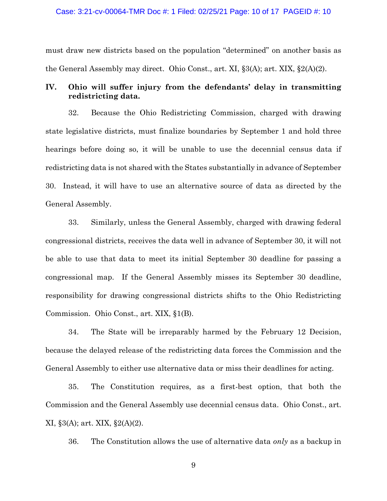#### Case: 3:21-cv-00064-TMR Doc #: 1 Filed: 02/25/21 Page: 10 of 17 PAGEID #: 10

must draw new districts based on the population "determined" on another basis as the General Assembly may direct. Ohio Const., art. XI,  $\S 3(A)$ ; art. XIX,  $\S 2(A)(2)$ .

## **IV. Ohio will suffer injury from the defendants' delay in transmitting redistricting data.**

32. Because the Ohio Redistricting Commission, charged with drawing state legislative districts, must finalize boundaries by September 1 and hold three hearings before doing so, it will be unable to use the decennial census data if redistricting data is not shared with the States substantially in advance of September 30. Instead, it will have to use an alternative source of data as directed by the General Assembly.

33. Similarly, unless the General Assembly, charged with drawing federal congressional districts, receives the data well in advance of September 30, it will not be able to use that data to meet its initial September 30 deadline for passing a congressional map. If the General Assembly misses its September 30 deadline, responsibility for drawing congressional districts shifts to the Ohio Redistricting Commission. Ohio Const., art. XIX, §1(B).

34. The State will be irreparably harmed by the February 12 Decision, because the delayed release of the redistricting data forces the Commission and the General Assembly to either use alternative data or miss their deadlines for acting.

35. The Constitution requires, as a first-best option, that both the Commission and the General Assembly use decennial census data. Ohio Const., art. XI, §3(A); art. XIX, §2(A)(2).

36. The Constitution allows the use of alternative data *only* as a backup in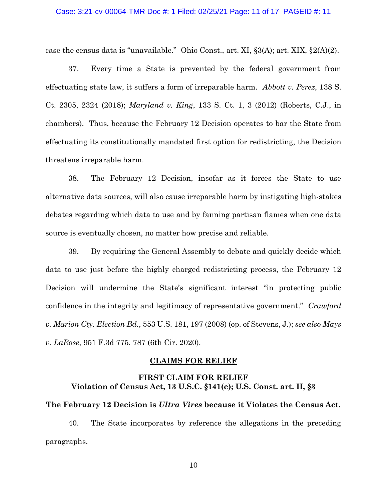#### Case: 3:21-cv-00064-TMR Doc #: 1 Filed: 02/25/21 Page: 11 of 17 PAGEID #: 11

case the census data is "unavailable." Ohio Const., art. XI, §3(A); art. XIX, §2(A)(2).

37. Every time a State is prevented by the federal government from effectuating state law, it suffers a form of irreparable harm. *Abbott v. Perez*, 138 S. Ct. 2305, 2324 (2018); *Maryland v. King*, 133 S. Ct. 1, 3 (2012) (Roberts, C.J., in chambers). Thus, because the February 12 Decision operates to bar the State from effectuating its constitutionally mandated first option for redistricting, the Decision threatens irreparable harm.

38. The February 12 Decision, insofar as it forces the State to use alternative data sources, will also cause irreparable harm by instigating high-stakes debates regarding which data to use and by fanning partisan flames when one data source is eventually chosen, no matter how precise and reliable.

39. By requiring the General Assembly to debate and quickly decide which data to use just before the highly charged redistricting process, the February 12 Decision will undermine the State's significant interest "in protecting public confidence in the integrity and legitimacy of representative government." *Crawford v. Marion Cty. Election Bd.*, 553 U.S. 181, 197 (2008) (op. of Stevens, J.); *see also Mays v. LaRose*, 951 F.3d 775, 787 (6th Cir. 2020).

#### **CLAIMS FOR RELIEF**

## **FIRST CLAIM FOR RELIEF Violation of Census Act, 13 U.S.C. §141(c); U.S. Const. art. II, §3**

## **The February 12 Decision is** *Ultra Vires* **because it Violates the Census Act.**

40. The State incorporates by reference the allegations in the preceding paragraphs.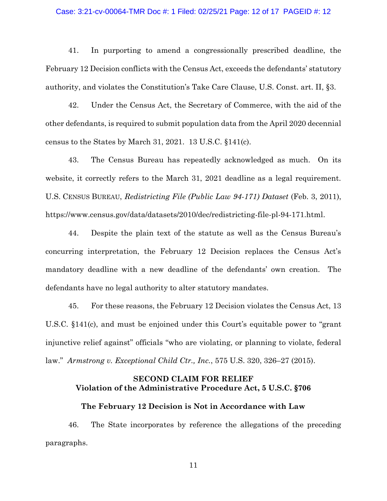#### Case: 3:21-cv-00064-TMR Doc #: 1 Filed: 02/25/21 Page: 12 of 17 PAGEID #: 12

41. In purporting to amend a congressionally prescribed deadline, the February 12 Decision conflicts with the Census Act, exceeds the defendants' statutory authority, and violates the Constitution's Take Care Clause, U.S. Const. art. II, §3.

42. Under the Census Act, the Secretary of Commerce, with the aid of the other defendants, is required to submit population data from the April 2020 decennial census to the States by March 31, 2021. 13 U.S.C. §141(c).

43. The Census Bureau has repeatedly acknowledged as much. On its website, it correctly refers to the March 31, 2021 deadline as a legal requirement. U.S. CENSUS BUREAU, *Redistricting File (Public Law 94-171) Dataset* (Feb. 3, 2011), https://www.census.gov/data/datasets/2010/dec/redistricting-file-pl-94-171.html.

44. Despite the plain text of the statute as well as the Census Bureau's concurring interpretation, the February 12 Decision replaces the Census Act's mandatory deadline with a new deadline of the defendants' own creation. The defendants have no legal authority to alter statutory mandates.

45. For these reasons, the February 12 Decision violates the Census Act, 13 U.S.C. §141(c), and must be enjoined under this Court's equitable power to "grant injunctive relief against" officials "who are violating, or planning to violate, federal law." *Armstrong v. Exceptional Child Ctr., Inc.*, 575 U.S. 320, 326–27 (2015).

## **SECOND CLAIM FOR RELIEF Violation of the Administrative Procedure Act, 5 U.S.C. §706**

## **The February 12 Decision is Not in Accordance with Law**

46. The State incorporates by reference the allegations of the preceding paragraphs.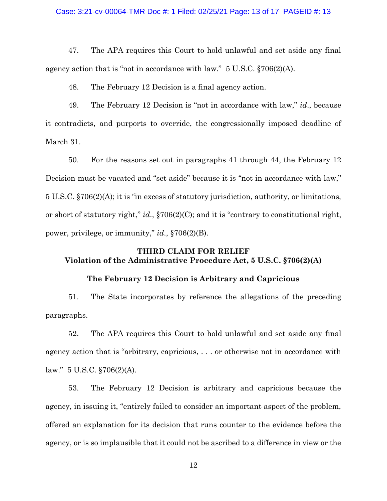### Case: 3:21-cv-00064-TMR Doc #: 1 Filed: 02/25/21 Page: 13 of 17 PAGEID #: 13

47. The APA requires this Court to hold unlawful and set aside any final agency action that is "not in accordance with law." 5 U.S.C. §706(2)(A).

48. The February 12 Decision is a final agency action.

49. The February 12 Decision is "not in accordance with law," *id*., because it contradicts, and purports to override, the congressionally imposed deadline of March 31.

50. For the reasons set out in paragraphs 41 through 44, the February 12 Decision must be vacated and "set aside" because it is "not in accordance with law," 5 U.S.C. §706(2)(A); it is "in excess of statutory jurisdiction, authority, or limitations, or short of statutory right," *id*., §706(2)(C); and it is "contrary to constitutional right, power, privilege, or immunity," *id*., §706(2)(B).

# **THIRD CLAIM FOR RELIEF Violation of the Administrative Procedure Act, 5 U.S.C. §706(2)(A)**

## **The February 12 Decision is Arbitrary and Capricious**

51. The State incorporates by reference the allegations of the preceding paragraphs.

52. The APA requires this Court to hold unlawful and set aside any final agency action that is "arbitrary, capricious, . . . or otherwise not in accordance with law." 5 U.S.C. §706(2)(A).

53. The February 12 Decision is arbitrary and capricious because the agency, in issuing it, "entirely failed to consider an important aspect of the problem, offered an explanation for its decision that runs counter to the evidence before the agency, or is so implausible that it could not be ascribed to a difference in view or the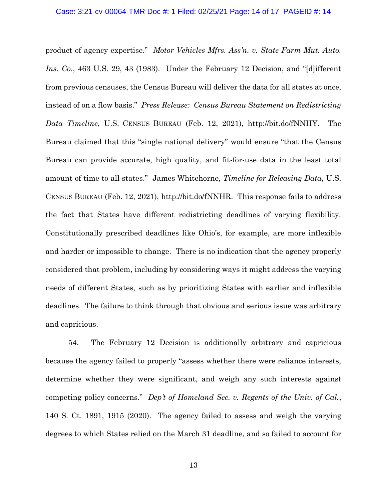#### Case: 3:21-cv-00064-TMR Doc #: 1 Filed: 02/25/21 Page: 14 of 17 PAGEID #: 14

product of agency expertise." *Motor Vehicles Mfrs. Ass'n. v. State Farm Mut. Auto. Ins. Co.*, 463 U.S. 29, 43 (1983). Under the February 12 Decision, and "[d]ifferent from previous censuses, the Census Bureau will deliver the data for all states at once, instead of on a flow basis." *Press Release: Census Bureau Statement on Redistricting Data Timeline*, U.S. CENSUS BUREAU (Feb. 12, 2021), http://bit.do/fNNHY. The Bureau claimed that this "single national delivery" would ensure "that the Census Bureau can provide accurate, high quality, and fit-for-use data in the least total amount of time to all states." James Whitehorne, *Timeline for Releasing Data*, U.S. CENSUS BUREAU (Feb. 12, 2021), http://bit.do/fNNHR. This response fails to address the fact that States have different redistricting deadlines of varying flexibility. Constitutionally prescribed deadlines like Ohio's, for example, are more inflexible and harder or impossible to change. There is no indication that the agency properly considered that problem, including by considering ways it might address the varying needs of different States, such as by prioritizing States with earlier and inflexible deadlines. The failure to think through that obvious and serious issue was arbitrary and capricious.

54. The February 12 Decision is additionally arbitrary and capricious because the agency failed to properly "assess whether there were reliance interests, determine whether they were significant, and weigh any such interests against competing policy concerns." *Dep't of Homeland Sec. v. Regents of the Univ. of Cal.*, 140 S. Ct. 1891, 1915 (2020). The agency failed to assess and weigh the varying degrees to which States relied on the March 31 deadline, and so failed to account for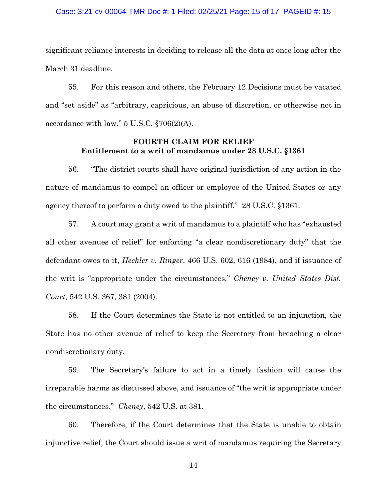#### Case: 3:21-cv-00064-TMR Doc #: 1 Filed: 02/25/21 Page: 15 of 17 PAGEID #: 15

significant reliance interests in deciding to release all the data at once long after the March 31 deadline.

55. For this reason and others, the February 12 Decisions must be vacated and "set aside" as "arbitrary, capricious, an abuse of discretion, or otherwise not in accordance with law." 5 U.S.C. §706(2)(A).

## **FOURTH CLAIM FOR RELIEF Entitlement to a writ of mandamus under 28 U.S.C. §1361**

56. "The district courts shall have original jurisdiction of any action in the nature of mandamus to compel an officer or employee of the United States or any agency thereof to perform a duty owed to the plaintiff." 28 U.S.C. §1361.

57. A court may grant a writ of mandamus to a plaintiff who has "exhausted all other avenues of relief" for enforcing "a clear nondiscretionary duty" that the defendant owes to it, *Heckler v. Ringer*, 466 U.S. 602, 616 (1984), and if issuance of the writ is "appropriate under the circumstances," *Cheney v. United States Dist. Court*, 542 U.S. 367, 381 (2004).

58. If the Court determines the State is not entitled to an injunction, the State has no other avenue of relief to keep the Secretary from breaching a clear nondiscretionary duty.

59. The Secretary's failure to act in a timely fashion will cause the irreparable harms as discussed above, and issuance of "the writ is appropriate under the circumstances." *Cheney*, 542 U.S. at 381.

60. Therefore, if the Court determines that the State is unable to obtain injunctive relief, the Court should issue a writ of mandamus requiring the Secretary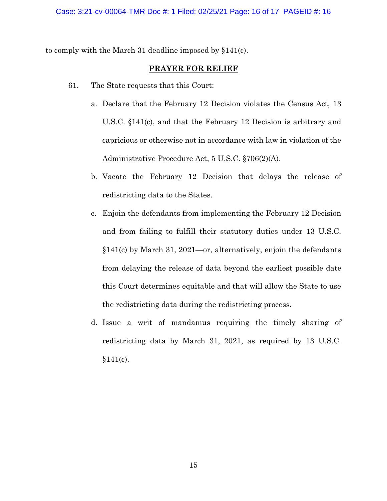to comply with the March 31 deadline imposed by §141(c).

## **PRAYER FOR RELIEF**

- 61. The State requests that this Court:
	- a. Declare that the February 12 Decision violates the Census Act, 13 U.S.C. §141(c), and that the February 12 Decision is arbitrary and capricious or otherwise not in accordance with law in violation of the Administrative Procedure Act, 5 U.S.C. §706(2)(A).
	- b. Vacate the February 12 Decision that delays the release of redistricting data to the States.
	- c. Enjoin the defendants from implementing the February 12 Decision and from failing to fulfill their statutory duties under 13 U.S.C. §141(c) by March 31, 2021—or, alternatively, enjoin the defendants from delaying the release of data beyond the earliest possible date this Court determines equitable and that will allow the State to use the redistricting data during the redistricting process.
	- d. Issue a writ of mandamus requiring the timely sharing of redistricting data by March 31, 2021, as required by 13 U.S.C.  $§141(c)$ .